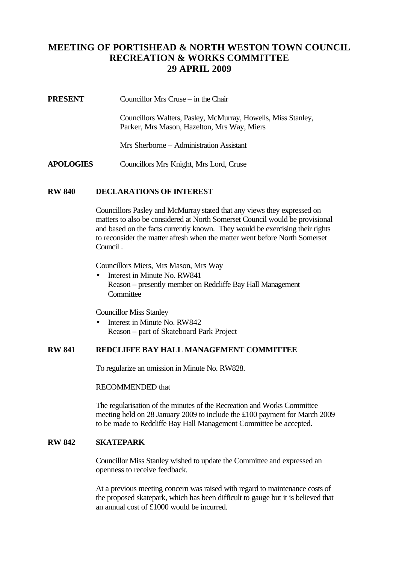# **MEETING OF PORTISHEAD & NORTH WESTON TOWN COUNCIL RECREATION & WORKS COMMITTEE 29 APRIL 2009**

| <b>PRESENT</b> |  | Councillor Mrs Cruse – in the Chair |
|----------------|--|-------------------------------------|
|----------------|--|-------------------------------------|

Councillors Walters, Pasley, McMurray, Howells, Miss Stanley, Parker, Mrs Mason, Hazelton, Mrs Way, Miers

Mrs Sherborne – Administration Assistant

**APOLOGIES** Councillors Mrs Knight, Mrs Lord, Cruse

#### **RW 840 DECLARATIONS OF INTEREST**

Councillors Pasley and McMurray stated that any views they expressed on matters to also be considered at North Somerset Council would be provisional and based on the facts currently known. They would be exercising their rights to reconsider the matter afresh when the matter went before North Somerset Council .

Councillors Miers, Mrs Mason, Mrs Way

• Interest in Minute No. RW841 Reason – presently member on Redcliffe Bay Hall Management **Committee** 

Councillor Miss Stanley

• Interest in Minute No. RW842 Reason – part of Skateboard Park Project

### **RW 841 REDCLIFFE BAY HALL MANAGEMENT COMMITTEE**

To regularize an omission in Minute No. RW828.

#### RECOMMENDED that

The regularisation of the minutes of the Recreation and Works Committee meeting held on 28 January 2009 to include the £100 payment for March 2009 to be made to Redcliffe Bay Hall Management Committee be accepted.

#### **RW 842 SKATEPARK**

Councillor Miss Stanley wished to update the Committee and expressed an openness to receive feedback.

At a previous meeting concern was raised with regard to maintenance costs of the proposed skatepark, which has been difficult to gauge but it is believed that an annual cost of £1000 would be incurred.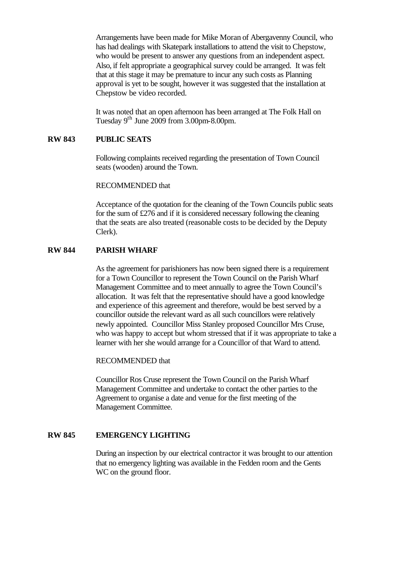Arrangements have been made for Mike Moran of Abergavenny Council, who has had dealings with Skatepark installations to attend the visit to Chepstow, who would be present to answer any questions from an independent aspect. Also, if felt appropriate a geographical survey could be arranged. It was felt that at this stage it may be premature to incur any such costs as Planning approval is yet to be sought, however it was suggested that the installation at Chepstow be video recorded.

It was noted that an open afternoon has been arranged at The Folk Hall on Tuesday  $9<sup>th</sup>$  June 2009 from 3.00pm-8.00pm.

### **RW 843 PUBLIC SEATS**

Following complaints received regarding the presentation of Town Council seats (wooden) around the Town.

RECOMMENDED that

Acceptance of the quotation for the cleaning of the Town Councils public seats for the sum of £276 and if it is considered necessary following the cleaning that the seats are also treated (reasonable costs to be decided by the Deputy Clerk).

### **RW 844 PARISH WHARF**

As the agreement for parishioners has now been signed there is a requirement for a Town Councillor to represent the Town Council on the Parish Wharf Management Committee and to meet annually to agree the Town Council's allocation. It was felt that the representative should have a good knowledge and experience of this agreement and therefore, would be best served by a councillor outside the relevant ward as all such councillors were relatively newly appointed. Councillor Miss Stanley proposed Councillor Mrs Cruse, who was happy to accept but whom stressed that if it was appropriate to take a learner with her she would arrange for a Councillor of that Ward to attend.

#### RECOMMENDED that

Councillor Ros Cruse represent the Town Council on the Parish Wharf Management Committee and undertake to contact the other parties to the Agreement to organise a date and venue for the first meeting of the Management Committee.

#### **RW 845 EMERGENCY LIGHTING**

During an inspection by our electrical contractor it was brought to our attention that no emergency lighting was available in the Fedden room and the Gents WC on the ground floor.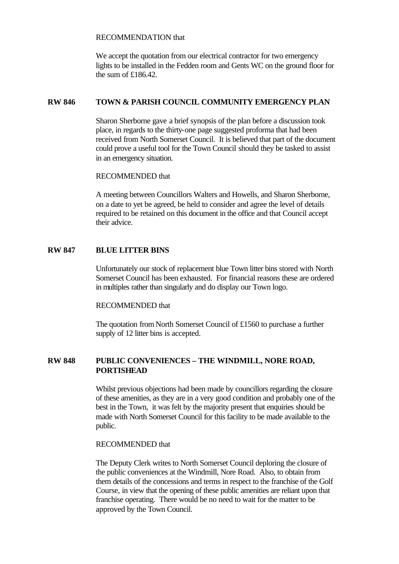RECOMMENDATION that

We accept the quotation from our electrical contractor for two emergency lights to be installed in the Fedden room and Gents WC on the ground floor for the sum of £186.42.

# **RW 846 TOWN & PARISH COUNCIL COMMUNITY EMERGENCY PLAN**

Sharon Sherborne gave a brief synopsis of the plan before a discussion took place, in regards to the thirty-one page suggested proforma that had been received from North Somerset Council. It is believed that part of the document could prove a useful tool for the Town Council should they be tasked to assist in an emergency situation.

### RECOMMENDED that

A meeting between Councillors Walters and Howells, and Sharon Sherborne, on a date to yet be agreed, be held to consider and agree the level of details required to be retained on this document in the office and that Council accept their advice.

# **RW 847 BLUE LITTER BINS**

Unfortunately our stock of replacement blue Town litter bins stored with North Somerset Council has been exhausted. For financial reasons these are ordered in multiples rather than singularly and do display our Town logo.

### RECOMMENDED that

The quotation from North Somerset Council of £1560 to purchase a further supply of 12 litter bins is accepted.

# **RW 848 PUBLIC CONVENIENCES – THE WINDMILL, NORE ROAD, PORTISHEAD**

Whilst previous objections had been made by councillors regarding the closure of these amenities, as they are in a very good condition and probably one of the best in the Town, it was felt by the majority present that enquiries should be made with North Somerset Council for this facility to be made available to the public.

# RECOMMENDED that

The Deputy Clerk writes to North Somerset Council deploring the closure of the public conveniences at the Windmill, Nore Road. Also, to obtain from them details of the concessions and terms in respect to the franchise of the Golf Course, in view that the opening of these public amenities are reliant upon that franchise operating. There would be no need to wait for the matter to be approved by the Town Council.